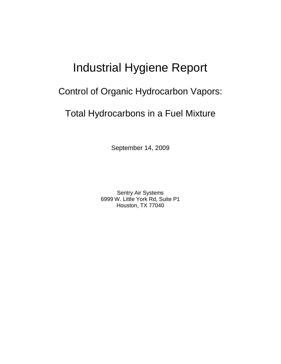# Industrial Hygiene Report

## Control of Organic Hydrocarbon Vapors:

# Total Hydrocarbons in a Fuel Mixture

September 14, 2009

Sentry Air Systems 6999 W. Little York Rd, Suite P1 Houston, TX 77040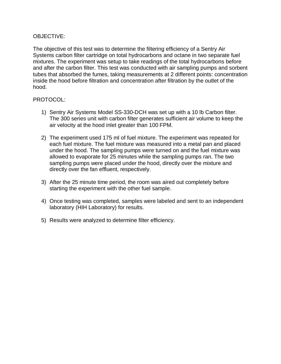### OBJECTIVE:

The objective of this test was to determine the filtering efficiency of a Sentry Air Systems carbon filter cartridge on total hydrocarbons and octane in two separate fuel mixtures. The experiment was setup to take readings of the total hydrocarbons before and after the carbon filter. This test was conducted with air sampling pumps and sorbent tubes that absorbed the fumes, taking measurements at 2 different points: concentration inside the hood before filtration and concentration after filtration by the outlet of the hood.

### PROTOCOL:

- 1) Sentry Air Systems Model SS-330-DCH was set up with a 10 lb Carbon filter. The 300 series unit with carbon filter generates sufficient air volume to keep the air velocity at the hood inlet greater than 100 FPM.
- 2) The experiment used 175 ml of fuel mixture. The experiment was repeated for each fuel mixture. The fuel mixture was measured into a metal pan and placed under the hood. The sampling pumps were turned on and the fuel mixture was allowed to evaporate for 25 minutes while the sampling pumps ran. The two sampling pumps were placed under the hood, directly over the mixture and directly over the fan effluent, respectively.
- 3) After the 25 minute time period, the room was aired out completely before starting the experiment with the other fuel sample.
- 4) Once testing was completed, samples were labeled and sent to an independent laboratory (HIH Laboratory) for results.
- 5) Results were analyzed to determine filter efficiency.